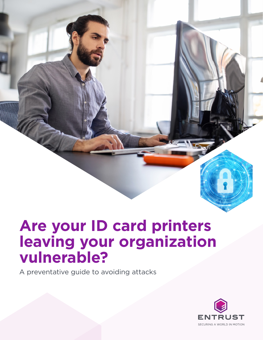# **Are your ID card printers leaving your organization vulnerable?**

A preventative guide to avoiding attacks

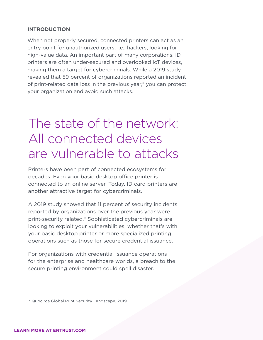#### **INTRODUCTION**

When not properly secured, connected printers can act as an entry point for unauthorized users, i.e., hackers, looking for high-value data. An important part of many corporations, ID printers are often under-secured and overlooked IoT devices, making them a target for cybercriminals. While a 2019 study revealed that 59 percent of organizations reported an incident of print-related data loss in the previous year,\* you can protect your organization and avoid such attacks.

### The state of the network: All connected devices are vulnerable to attacks

Printers have been part of connected ecosystems for decades. Even your basic desktop office printer is connected to an online server. Today, ID card printers are another attractive target for cybercriminals.

A 2019 study showed that 11 percent of security incidents reported by organizations over the previous year were print-security related.\* Sophisticated cybercriminals are looking to exploit your vulnerabilities, whether that's with your basic desktop printer or more specialized printing operations such as those for secure credential issuance.

For organizations with credential issuance operations for the enterprise and healthcare worlds, a breach to the secure printing environment could spell disaster.

\* Quocirca Global Print Security Landscape, 2019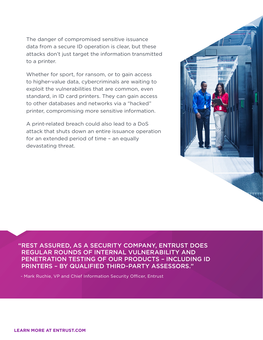The danger of compromised sensitive issuance data from a secure ID operation is clear, but these attacks don't just target the information transmitted to a printer.

Whether for sport, for ransom, or to gain access to higher-value data, cybercriminals are waiting to exploit the vulnerabilities that are common, even standard, in ID card printers. They can gain access to other databases and networks via a "hacked" printer, compromising more sensitive information.

A print-related breach could also lead to a DoS attack that shuts down an entire issuance operation for an extended period of time – an equally devastating threat.



"REST ASSURED, AS A SECURITY COMPANY, ENTRUST DOES REGULAR ROUNDS OF INTERNAL VULNERABILITY AND PENETRATION TESTING OF OUR PRODUCTS – INCLUDING ID PRINTERS – BY QUALIFIED THIRD-PARTY ASSESSORS."

- Mark Ruchie, VP and Chief Information Security Officer, Entrust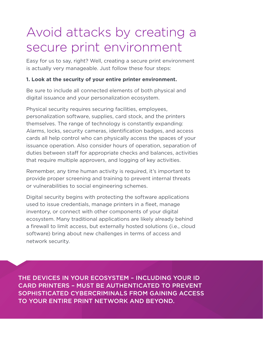## Avoid attacks by creating a secure print environment

Easy for us to say, right? Well, creating a secure print environment is actually very manageable. Just follow these four steps:

### **1. Look at the security of your entire printer environment.**

Be sure to include all connected elements of both physical and digital issuance and your personalization ecosystem.

Physical security requires securing facilities, employees, personalization software, supplies, card stock, and the printers themselves. The range of technology is constantly expanding: Alarms, locks, security cameras, identification badges, and access cards all help control who can physically access the spaces of your issuance operation. Also consider hours of operation, separation of duties between staff for appropriate checks and balances, activities that require multiple approvers, and logging of key activities.

Remember, any time human activity is required, it's important to provide proper screening and training to prevent internal threats or vulnerabilities to social engineering schemes.

Digital security begins with protecting the software applications used to issue credentials, manage printers in a fleet, manage inventory, or connect with other components of your digital ecosystem. Many traditional applications are likely already behind a firewall to limit access, but externally hosted solutions (i.e., cloud software) bring about new challenges in terms of access and network security.

THE DEVICES IN YOUR ECOSYSTEM – INCLUDING YOUR ID CARD PRINTERS – MUST BE AUTHENTICATED TO PREVENT SOPHISTICATED CYBERCRIMINALS FROM GAINING ACCESS TO YOUR ENTIRE PRINT NETWORK AND BEYOND.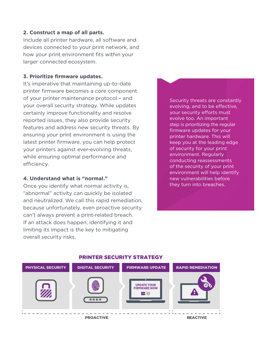#### **2. Construct a map of all parts.**

Include all printer hardware, all software and devices connected to your print network, and how your print environment fits within your larger connected ecosystem.

#### **3. Prioritize firmware updates.**

It's imperative that maintaining up-to-date printer firmware becomes a core component of your printer maintenance protocol – and your overall security strategy. While updates certainly improve functionality and resolve reported issues, they also provide security features and address new security threats. By ensuring your print environment is using the latest printer firmware, you can help protect your printers against ever-evolving threats, while ensuring optimal performance and efficiency.

#### **4. Understand what is "normal."**

Once you identify what normal activity is, "abnormal" activity can quickly be isolated and neutralized. We call this rapid remediation, because unfortunately, even proactive security can't always prevent a print-related breach. If an attack does happen, identifying it and limiting its impact is the key to mitigating overall security risks.

Security threats are constantly evolving, and to be effective, your security efforts must evolve too. An important step is prioritizing the regular firmware updates for your printer hardware. This will keep you at the leading edge of security for your print environment. Regularly conducting reassessments of the security of your print environment will help identify new vulnerabilities before they turn into breaches.



#### PRINTER SECURITY STRATEGY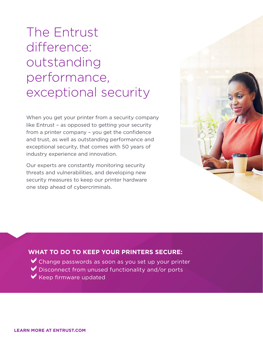# The Entrust difference: outstanding performance, exceptional security

When you get your printer from a security company like Entrust – as opposed to getting your security from a printer company – you get the confidence and trust, as well as outstanding performance and exceptional security, that comes with 50 years of industry experience and innovation.

Our experts are constantly monitoring security threats and vulnerabilities, and developing new security measures to keep our printer hardware one step ahead of cybercriminals.



### **WHAT TO DO TO KEEP YOUR PRINTERS SECURE:**

 $\vee$  Change passwords as soon as you set up your printer  $\vee$  Disconnect from unused functionality and/or ports  $\blacktriangledown$  Keep firmware updated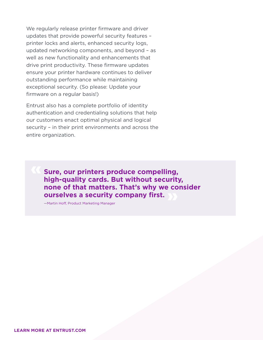We regularly release printer firmware and driver updates that provide powerful security features – printer locks and alerts, enhanced security logs, updated networking components, and beyond – as well as new functionality and enhancements that drive print productivity. These firmware updates ensure your printer hardware continues to deliver outstanding performance while maintaining exceptional security. (So please: Update your firmware on a regular basis!)

Entrust also has a complete portfolio of identity authentication and credentialing solutions that help our customers enact optimal physical and logical security – in their print environments and across the entire organization.

> **Sure, our printers produce compelling, high-quality cards. But without security, none of that matters. That's why we consider ourselves a security company first.**

—Martin Hoff, Product Marketing Manager